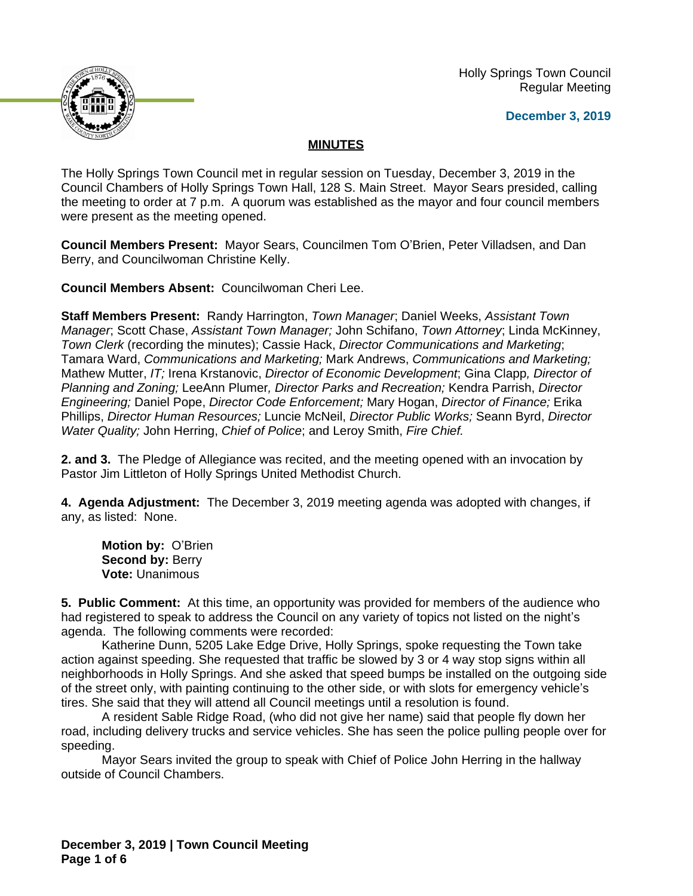Holly Springs Town Council Regular Meeting





## **MINUTES**

The Holly Springs Town Council met in regular session on Tuesday, December 3, 2019 in the Council Chambers of Holly Springs Town Hall, 128 S. Main Street. Mayor Sears presided, calling the meeting to order at 7 p.m. A quorum was established as the mayor and four council members were present as the meeting opened.

**Council Members Present:** Mayor Sears, Councilmen Tom O'Brien, Peter Villadsen, and Dan Berry, and Councilwoman Christine Kelly.

**Council Members Absent:** Councilwoman Cheri Lee.

**Staff Members Present:** Randy Harrington, *Town Manager*; Daniel Weeks, *Assistant Town Manager*; Scott Chase, *Assistant Town Manager;* John Schifano, *Town Attorney*; Linda McKinney, *Town Clerk* (recording the minutes); Cassie Hack, *Director Communications and Marketing*; Tamara Ward, *Communications and Marketing;* Mark Andrews, *Communications and Marketing;* Mathew Mutter, *IT;* Irena Krstanovic, *Director of Economic Development*; Gina Clapp*, Director of Planning and Zoning;* LeeAnn Plumer*, Director Parks and Recreation;* Kendra Parrish, *Director Engineering;* Daniel Pope, *Director Code Enforcement;* Mary Hogan, *Director of Finance;* Erika Phillips, *Director Human Resources;* Luncie McNeil, *Director Public Works;* Seann Byrd, *Director Water Quality;* John Herring, *Chief of Police*; and Leroy Smith, *Fire Chief.*

**2. and 3.** The Pledge of Allegiance was recited, and the meeting opened with an invocation by Pastor Jim Littleton of Holly Springs United Methodist Church.

**4. Agenda Adjustment:** The December 3, 2019 meeting agenda was adopted with changes, if any, as listed: None.

**Motion by:** O'Brien **Second by: Berry Vote:** Unanimous

**5. Public Comment:** At this time, an opportunity was provided for members of the audience who had registered to speak to address the Council on any variety of topics not listed on the night's agenda. The following comments were recorded:

Katherine Dunn, 5205 Lake Edge Drive, Holly Springs, spoke requesting the Town take action against speeding. She requested that traffic be slowed by 3 or 4 way stop signs within all neighborhoods in Holly Springs. And she asked that speed bumps be installed on the outgoing side of the street only, with painting continuing to the other side, or with slots for emergency vehicle's tires. She said that they will attend all Council meetings until a resolution is found.

A resident Sable Ridge Road, (who did not give her name) said that people fly down her road, including delivery trucks and service vehicles. She has seen the police pulling people over for speeding.

Mayor Sears invited the group to speak with Chief of Police John Herring in the hallway outside of Council Chambers.

**December 3, 2019 | Town Council Meeting Page 1 of 6**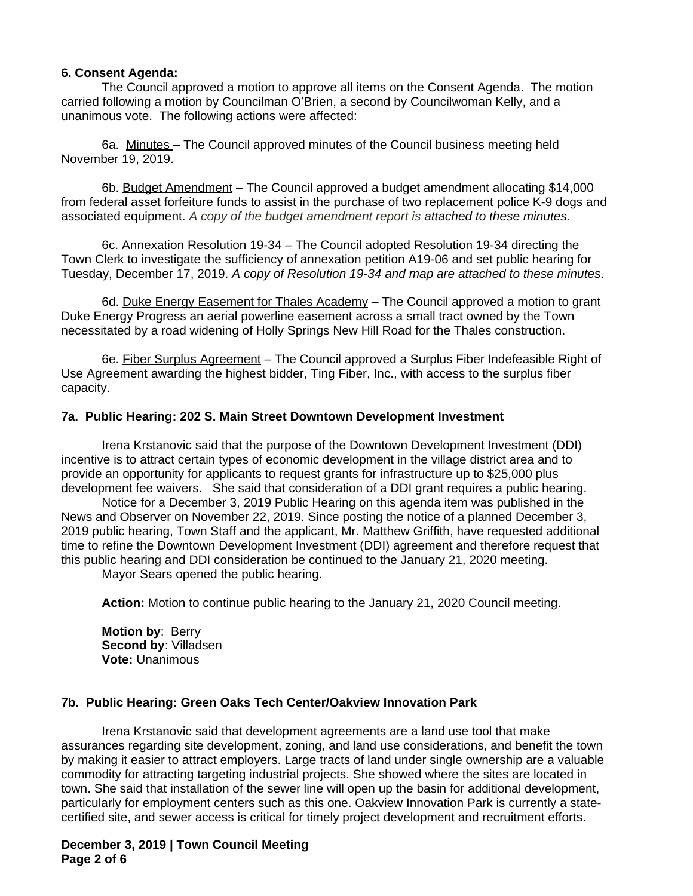#### **6. Consent Agenda:**

The Council approved a motion to approve all items on the Consent Agenda. The motion carried following a motion by Councilman O'Brien, a second by Councilwoman Kelly, and a unanimous vote. The following actions were affected:

6a. Minutes – The Council approved minutes of the Council business meeting held November 19, 2019.

6b. Budget Amendment – The Council approved a budget amendment allocating \$14,000 from federal asset forfeiture funds to assist in the purchase of two replacement police K-9 dogs and associated equipment. *A copy of the budget amendment report is attached to these minutes.*

6c. Annexation Resolution 19-34 – The Council adopted Resolution 19-34 directing the Town Clerk to investigate the sufficiency of annexation petition A19-06 and set public hearing for Tuesday, December 17, 2019. *A copy of Resolution 19-34 and map are attached to these minutes*.

6d. Duke Energy Easement for Thales Academy - The Council approved a motion to grant Duke Energy Progress an aerial powerline easement across a small tract owned by the Town necessitated by a road widening of Holly Springs New Hill Road for the Thales construction.

6e. Fiber Surplus Agreement – The Council approved a Surplus Fiber Indefeasible Right of Use Agreement awarding the highest bidder, Ting Fiber, Inc., with access to the surplus fiber capacity.

#### **7a. Public Hearing: 202 S. Main Street Downtown Development Investment**

Irena Krstanovic said that the purpose of the Downtown Development Investment (DDI) incentive is to attract certain types of economic development in the village district area and to provide an opportunity for applicants to request grants for infrastructure up to \$25,000 plus development fee waivers. She said that consideration of a DDI grant requires a public hearing.

Notice for a December 3, 2019 Public Hearing on this agenda item was published in the News and Observer on November 22, 2019. Since posting the notice of a planned December 3, 2019 public hearing, Town Staff and the applicant, Mr. Matthew Griffith, have requested additional time to refine the Downtown Development Investment (DDI) agreement and therefore request that this public hearing and DDI consideration be continued to the January 21, 2020 meeting.

Mayor Sears opened the public hearing.

**Action:** Motion to continue public hearing to the January 21, 2020 Council meeting.

**Motion by**: Berry **Second by**: Villadsen **Vote:** Unanimous

### **7b. Public Hearing: Green Oaks Tech Center/Oakview Innovation Park**

Irena Krstanovic said that development agreements are a land use tool that make assurances regarding site development, zoning, and land use considerations, and benefit the town by making it easier to attract employers. Large tracts of land under single ownership are a valuable commodity for attracting targeting industrial projects. She showed where the sites are located in town. She said that installation of the sewer line will open up the basin for additional development, particularly for employment centers such as this one. Oakview Innovation Park is currently a statecertified site, and sewer access is critical for timely project development and recruitment efforts.

**December 3, 2019 | Town Council Meeting Page 2 of 6**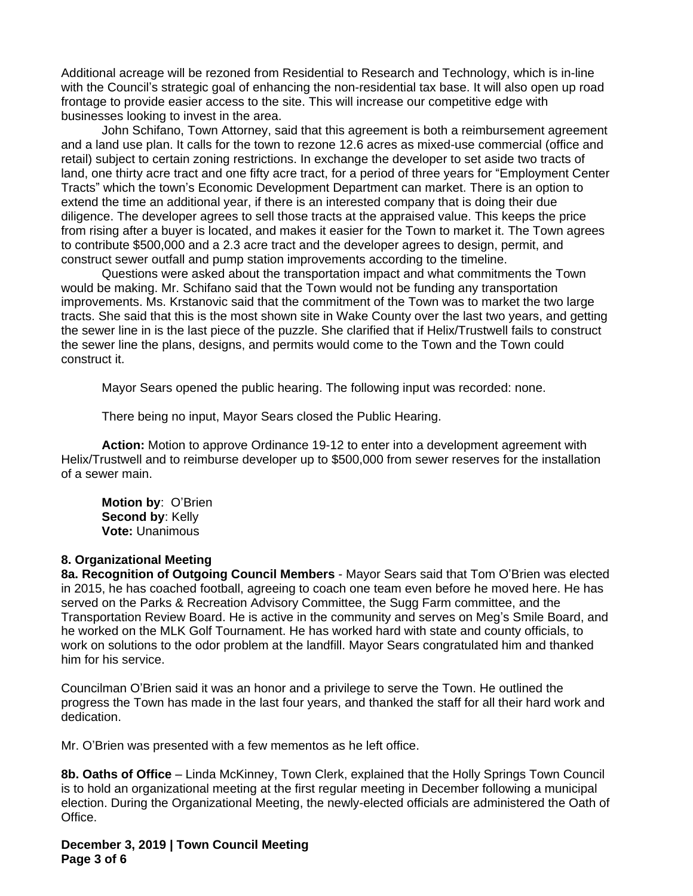Additional acreage will be rezoned from Residential to Research and Technology, which is in-line with the Council's strategic goal of enhancing the non-residential tax base. It will also open up road frontage to provide easier access to the site. This will increase our competitive edge with businesses looking to invest in the area.

John Schifano, Town Attorney, said that this agreement is both a reimbursement agreement and a land use plan. It calls for the town to rezone 12.6 acres as mixed-use commercial (office and retail) subject to certain zoning restrictions. In exchange the developer to set aside two tracts of land, one thirty acre tract and one fifty acre tract, for a period of three years for "Employment Center Tracts" which the town's Economic Development Department can market. There is an option to extend the time an additional year, if there is an interested company that is doing their due diligence. The developer agrees to sell those tracts at the appraised value. This keeps the price from rising after a buyer is located, and makes it easier for the Town to market it. The Town agrees to contribute \$500,000 and a 2.3 acre tract and the developer agrees to design, permit, and construct sewer outfall and pump station improvements according to the timeline.

Questions were asked about the transportation impact and what commitments the Town would be making. Mr. Schifano said that the Town would not be funding any transportation improvements. Ms. Krstanovic said that the commitment of the Town was to market the two large tracts. She said that this is the most shown site in Wake County over the last two years, and getting the sewer line in is the last piece of the puzzle. She clarified that if Helix/Trustwell fails to construct the sewer line the plans, designs, and permits would come to the Town and the Town could construct it.

Mayor Sears opened the public hearing. The following input was recorded: none.

There being no input, Mayor Sears closed the Public Hearing.

**Action:** Motion to approve Ordinance 19-12 to enter into a development agreement with Helix/Trustwell and to reimburse developer up to \$500,000 from sewer reserves for the installation of a sewer main.

**Motion by**: O'Brien **Second by: Kelly Vote:** Unanimous

### **8. Organizational Meeting**

**8a. Recognition of Outgoing Council Members** - Mayor Sears said that Tom O'Brien was elected in 2015, he has coached football, agreeing to coach one team even before he moved here. He has served on the Parks & Recreation Advisory Committee, the Sugg Farm committee, and the Transportation Review Board. He is active in the community and serves on Meg's Smile Board, and he worked on the MLK Golf Tournament. He has worked hard with state and county officials, to work on solutions to the odor problem at the landfill. Mayor Sears congratulated him and thanked him for his service.

Councilman O'Brien said it was an honor and a privilege to serve the Town. He outlined the progress the Town has made in the last four years, and thanked the staff for all their hard work and dedication.

Mr. O'Brien was presented with a few mementos as he left office.

**8b. Oaths of Office** – Linda McKinney, Town Clerk, explained that the Holly Springs Town Council is to hold an organizational meeting at the first regular meeting in December following a municipal election. During the Organizational Meeting, the newly-elected officials are administered the Oath of Office.

**December 3, 2019 | Town Council Meeting Page 3 of 6**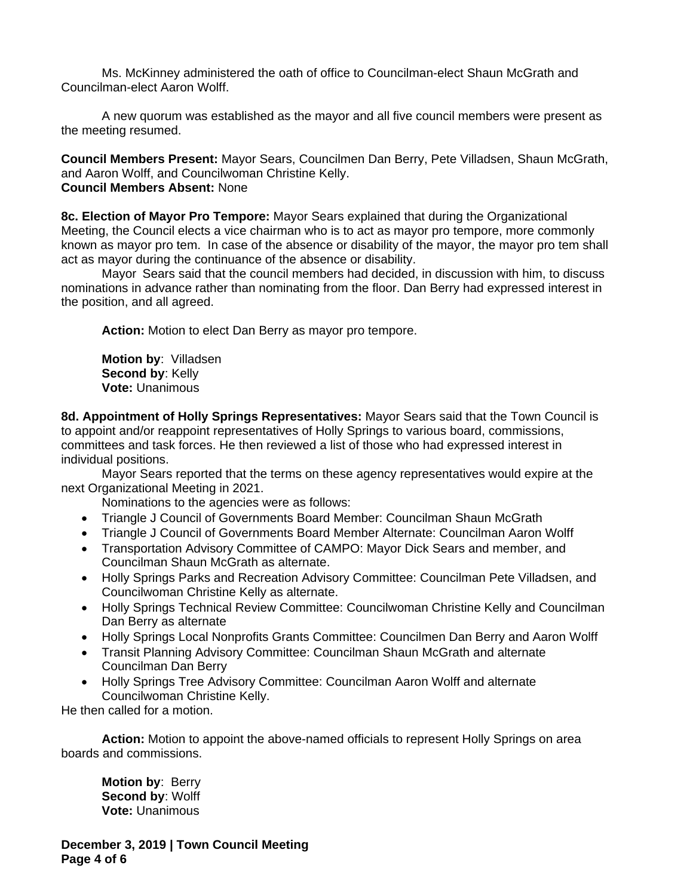Ms. McKinney administered the oath of office to Councilman-elect Shaun McGrath and Councilman-elect Aaron Wolff.

A new quorum was established as the mayor and all five council members were present as the meeting resumed.

**Council Members Present:** Mayor Sears, Councilmen Dan Berry, Pete Villadsen, Shaun McGrath, and Aaron Wolff, and Councilwoman Christine Kelly. **Council Members Absent:** None

**8c. Election of Mayor Pro Tempore:** Mayor Sears explained that during the Organizational Meeting, the Council elects a vice chairman who is to act as mayor pro tempore, more commonly known as mayor pro tem. In case of the absence or disability of the mayor, the mayor pro tem shall act as mayor during the continuance of the absence or disability.

Mayor Sears said that the council members had decided, in discussion with him, to discuss nominations in advance rather than nominating from the floor. Dan Berry had expressed interest in the position, and all agreed.

**Action:** Motion to elect Dan Berry as mayor pro tempore.

**Motion by**: Villadsen **Second by: Kelly Vote:** Unanimous

**8d. Appointment of Holly Springs Representatives:** Mayor Sears said that the Town Council is to appoint and/or reappoint representatives of Holly Springs to various board, commissions, committees and task forces. He then reviewed a list of those who had expressed interest in individual positions.

Mayor Sears reported that the terms on these agency representatives would expire at the next Organizational Meeting in 2021.

Nominations to the agencies were as follows:

- Triangle J Council of Governments Board Member: Councilman Shaun McGrath
- Triangle J Council of Governments Board Member Alternate: Councilman Aaron Wolff
- Transportation Advisory Committee of CAMPO: Mayor Dick Sears and member, and Councilman Shaun McGrath as alternate.
- Holly Springs Parks and Recreation Advisory Committee: Councilman Pete Villadsen, and Councilwoman Christine Kelly as alternate.
- Holly Springs Technical Review Committee: Councilwoman Christine Kelly and Councilman Dan Berry as alternate
- Holly Springs Local Nonprofits Grants Committee: Councilmen Dan Berry and Aaron Wolff
- Transit Planning Advisory Committee: Councilman Shaun McGrath and alternate Councilman Dan Berry
- Holly Springs Tree Advisory Committee: Councilman Aaron Wolff and alternate Councilwoman Christine Kelly.

He then called for a motion.

**Action:** Motion to appoint the above-named officials to represent Holly Springs on area boards and commissions.

**Motion by**: Berry **Second by**: Wolff **Vote:** Unanimous

**December 3, 2019 | Town Council Meeting Page 4 of 6**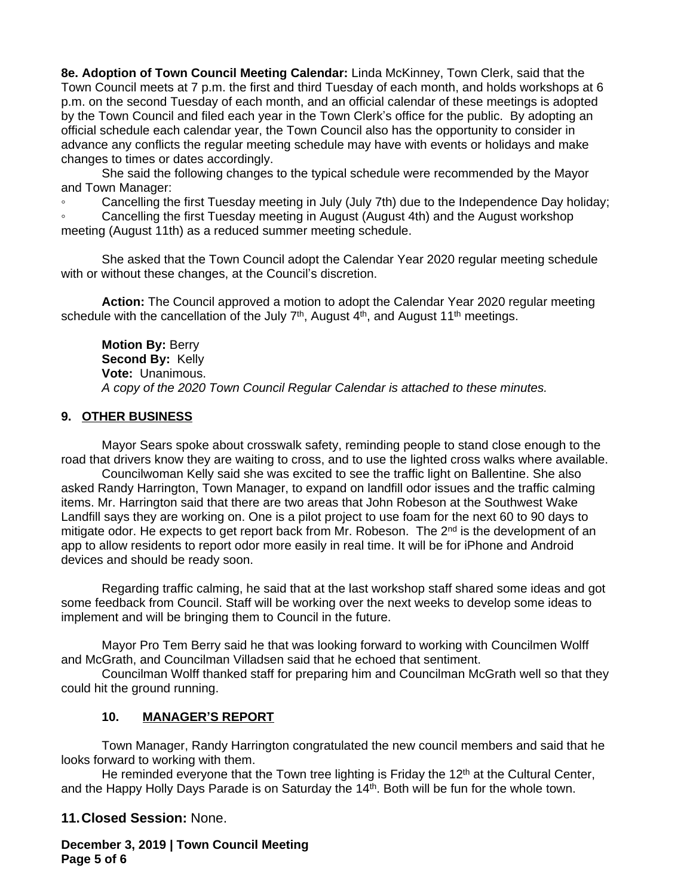**8e. Adoption of Town Council Meeting Calendar:** Linda McKinney, Town Clerk, said that the Town Council meets at 7 p.m. the first and third Tuesday of each month, and holds workshops at 6 p.m. on the second Tuesday of each month, and an official calendar of these meetings is adopted by the Town Council and filed each year in the Town Clerk's office for the public. By adopting an official schedule each calendar year, the Town Council also has the opportunity to consider in advance any conflicts the regular meeting schedule may have with events or holidays and make changes to times or dates accordingly.

She said the following changes to the typical schedule were recommended by the Mayor and Town Manager:

Cancelling the first Tuesday meeting in July (July 7th) due to the Independence Day holiday;

Cancelling the first Tuesday meeting in August (August 4th) and the August workshop meeting (August 11th) as a reduced summer meeting schedule.

She asked that the Town Council adopt the Calendar Year 2020 regular meeting schedule with or without these changes, at the Council's discretion.

**Action:** The Council approved a motion to adopt the Calendar Year 2020 regular meeting schedule with the cancellation of the July  $7<sup>th</sup>$ , August  $4<sup>th</sup>$ , and August 11<sup>th</sup> meetings.

**Motion By:** Berry **Second By:** Kelly **Vote:** Unanimous. *A copy of the 2020 Town Council Regular Calendar is attached to these minutes.*

### **9. OTHER BUSINESS**

Mayor Sears spoke about crosswalk safety, reminding people to stand close enough to the road that drivers know they are waiting to cross, and to use the lighted cross walks where available.

Councilwoman Kelly said she was excited to see the traffic light on Ballentine. She also asked Randy Harrington, Town Manager, to expand on landfill odor issues and the traffic calming items. Mr. Harrington said that there are two areas that John Robeson at the Southwest Wake Landfill says they are working on. One is a pilot project to use foam for the next 60 to 90 days to mitigate odor. He expects to get report back from Mr. Robeson. The 2<sup>nd</sup> is the development of an app to allow residents to report odor more easily in real time. It will be for iPhone and Android devices and should be ready soon.

Regarding traffic calming, he said that at the last workshop staff shared some ideas and got some feedback from Council. Staff will be working over the next weeks to develop some ideas to implement and will be bringing them to Council in the future.

Mayor Pro Tem Berry said he that was looking forward to working with Councilmen Wolff and McGrath, and Councilman Villadsen said that he echoed that sentiment.

Councilman Wolff thanked staff for preparing him and Councilman McGrath well so that they could hit the ground running.

### **10. MANAGER'S REPORT**

Town Manager, Randy Harrington congratulated the new council members and said that he looks forward to working with them.

He reminded everyone that the Town tree lighting is Friday the  $12<sup>th</sup>$  at the Cultural Center, and the Happy Holly Days Parade is on Saturday the 14<sup>th</sup>. Both will be fun for the whole town.

# **11.Closed Session:** None.

**December 3, 2019 | Town Council Meeting Page 5 of 6**